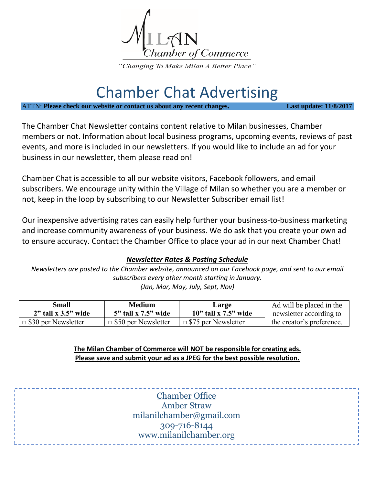

## Chamber Chat Advertising

ATTN: **Please check our website or contact us about any recent changes. Last update: 11/8/2017**

The Chamber Chat Newsletter contains content relative to Milan businesses, Chamber members or not. Information about local business programs, upcoming events, reviews of past events, and more is included in our newsletters. If you would like to include an ad for your business in our newsletter, them please read on!

Chamber Chat is accessible to all our website visitors, Facebook followers, and email subscribers. We encourage unity within the Village of Milan so whether you are a member or not, keep in the loop by subscribing to our Newsletter Subscriber email list!

Our inexpensive advertising rates can easily help further your business-to-business marketing and increase community awareness of your business. We do ask that you create your own ad to ensure accuracy. Contact the Chamber Office to place your ad in our next Chamber Chat!

## *Newsletter Rates & Posting Schedule*

*Newsletters are posted to the Chamber website, announced on our Facebook page, and sent to our email subscribers every other month starting in January. (Jan, Mar, May, July, Sept, Nov)*

| <b>Small</b>                       | <b>Medium</b>              | Large                      | Ad will be placed in the  |
|------------------------------------|----------------------------|----------------------------|---------------------------|
| $2"$ tall x 3.5" wide              | $5"$ tall x $7.5"$ wide    | $10$ " tall x $7.5$ " wide | newsletter according to   |
| $\perp$ $\Box$ \$30 per Newsletter | $\Box$ \$50 per Newsletter | $\Box$ \$75 per Newsletter | the creator's preference. |

**The Milan Chamber of Commerce will NOT be responsible for creating ads. Please save and submit your ad as a JPEG for the best possible resolution.** 

> Chamber Office Amber Straw milanilchamber@gmail.com 309-716-8144 www.milanilchamber.org